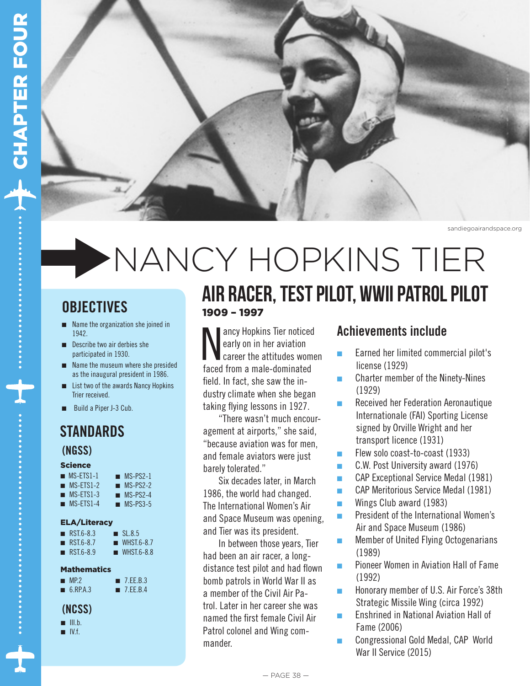

sandiegoairandspace.org

# NANCY HOPKINS TIER

### **OBJECTIVES**

- $\blacksquare$  Name the organization she joined in 1942.
- $\blacksquare$  Describe two air derbies she participated in 1930.
- $\blacksquare$  Name the museum where she presided as the inaugural president in 1986.
- List two of the awards Nancy Hopkins Trier received.
- Build a Piper J-3 Cub.

### STANDARDS (NGSS)

#### **Science**

| $MS-FIS1-1$ | $MS-PS2-1$ |
|-------------|------------|
| $MS-FIS1-2$ | $MS-PS2-2$ |
| $MS-FIS1-3$ | $MS-PS2-4$ |

 $MS-FTS1-4$  $MS-PS3-5$ 

#### ELA/Literacy

| $RSI.6-8.3$              | SL8.5        |
|--------------------------|--------------|
| $\blacksquare$ RST.6-8.7 | $WHSI.6-8.7$ |

 $RST.6-8.9$  $WHST.6-8.8$ 

#### **Mathematics**

 $M.P.2$  $\blacksquare$  6.RP.A.3  $\blacksquare$  7.EE.B.3 ■ 7.EE.B.4

- (NCSS)
- $\blacksquare$  III.b.
- $\blacksquare$  IV.f.

### 1909 – 1997 air racer, test pilot, wwII patrol pilot

Mancy Hopkins Tier noticed<br>early on in her aviation<br>faced from a male-dominated ancy Hopkins Tier noticed early on in her aviation career the attitudes women field. In fact, she saw the industry climate when she began taking flying lessons in 1927.

"There wasn't much encouragement at airports," she said, "because aviation was for men, and female aviators were just barely tolerated."

Six decades later, in March 1986, the world had changed. The International Women's Air and Space Museum was opening, and Tier was its president.

In between those years, Tier had been an air racer, a longdistance test pilot and had flown bomb patrols in World War II as a member of the Civil Air Patrol. Later in her career she was named the first female Civil Air Patrol colonel and Wing commander.

### Achievements include

- **n** Earned her limited commercial pilot's license (1929)
- $\blacksquare$  Charter member of the Ninety-Nines (1929)
- **n** Received her Federation Aeronautique Internationale (FAI) Sporting License signed by Orville Wright and her transport licence (1931)
- **Flew solo coast-to-coast (1933)**
- $\blacksquare$  C.W. Post University award (1976)
- **nCAP Exceptional Service Medal (1981)**
- **nCAP Meritorious Service Medal (1981)**
- $\blacksquare$  Wings Club award (1983)
- $\blacksquare$  President of the International Women's Air and Space Museum (1986)
- $\blacksquare$  Member of United Flying Octogenarians (1989)
- Pioneer Women in Aviation Hall of Fame (1992)
- **Honorary member of U.S. Air Force's 38th** Strategic Missile Wing (circa 1992)
- <sup>n</sup> Enshrined in National Aviation Hall of Fame (2006)
- Congressional Gold Medal, CAP World War II Service (2015)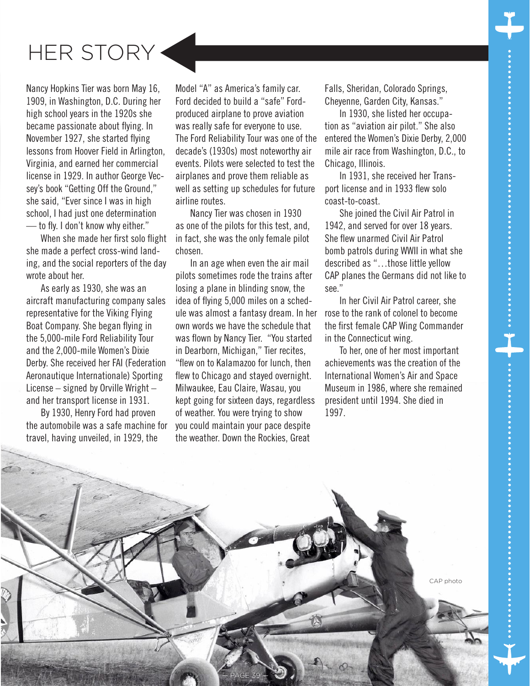



Nancy Hopkins Tier was born May 16, 1909, in Washington, D.C. During her high school years in the 1920s she became passionate about flying. In November 1927, she started flying lessons from Hoover Field in Arlington, Virginia, and earned her commercial license in 1929. In author George Vecsey's book "Getting Off the Ground," she said, "Ever since I was in high school, I had just one determination — to fly. I don't know why either."

When she made her first solo flight she made a perfect cross-wind landing, and the social reporters of the day wrote about her.

As early as 1930, she was an aircraft manufacturing company sales representative for the Viking Flying Boat Company. She began flying in the 5,000-mile Ford Reliability Tour and the 2,000-mile Women's Dixie Derby. She received her FAI (Federation Aeronautique Internationale) Sporting License – signed by Orville Wright – and her transport license in 1931.

By 1930, Henry Ford had proven the automobile was a safe machine for travel, having unveiled, in 1929, the

Model "A" as America's family car. Ford decided to build a "safe" Fordproduced airplane to prove aviation was really safe for everyone to use. The Ford Reliability Tour was one of the decade's (1930s) most noteworthy air events. Pilots were selected to test the airplanes and prove them reliable as well as setting up schedules for future airline routes.

Nancy Tier was chosen in 1930 as one of the pilots for this test, and, in fact, she was the only female pilot chosen.

In an age when even the air mail pilots sometimes rode the trains after losing a plane in blinding snow, the idea of flying 5,000 miles on a schedule was almost a fantasy dream. In her own words we have the schedule that was flown by Nancy Tier. "You started in Dearborn, Michigan," Tier recites, "flew on to Kalamazoo for lunch, then flew to Chicago and stayed overnight. Milwaukee, Eau Claire, Wasau, you kept going for sixteen days, regardless of weather. You were trying to show you could maintain your pace despite the weather. Down the Rockies, Great

— PAGE 39 —

Falls, Sheridan, Colorado Springs, Cheyenne, Garden City, Kansas."

In 1930, she listed her occupation as "aviation air pilot." She also entered the Women's Dixie Derby, 2,000 mile air race from Washington, D.C., to Chicago, Illinois.

In 1931, she received her Transport license and in 1933 flew solo coast-to-coast.

She joined the Civil Air Patrol in 1942, and served for over 18 years. She flew unarmed Civil Air Patrol bomb patrols during WWII in what she described as "…those little yellow CAP planes the Germans did not like to see."

In her Civil Air Patrol career, she rose to the rank of colonel to become the first female CAP Wing Commander in the Connecticut wing.

To her, one of her most important achievements was the creation of the International Women's Air and Space Museum in 1986, where she remained president until 1994. She died in 1997.

CAP photo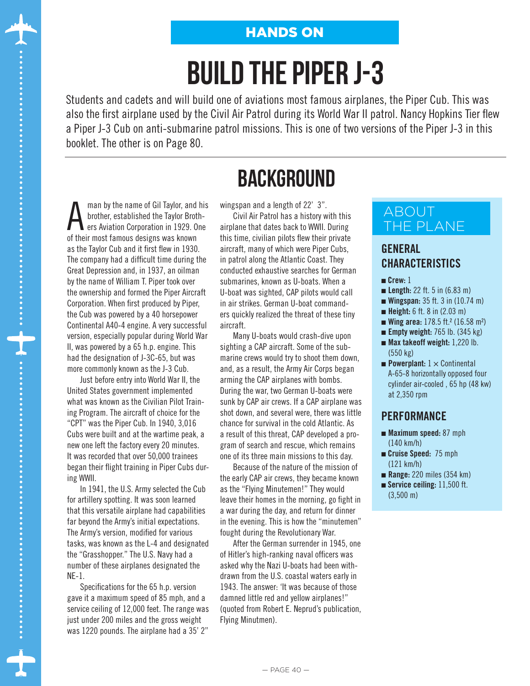### HANDS ON

# build the piper j-3

Students and cadets and will build one of aviations most famous airplanes, the Piper Cub. This was also the first airplane used by the Civil Air Patrol during its World War II patrol. Nancy Hopkins Tier flew a Piper J-3 Cub on anti-submarine patrol missions. This is one of two versions of the Piper J-3 in this booklet. The other is on Page 80.

man by the name of Gil Taylor, and his<br>brother, established the Taylor Broth-<br>ers Aviation Corporation in 1929. One<br>of their mest formus designs were known brother, established the Taylor Brothers Aviation Corporation in 1929. One of their most famous designs was known as the Taylor Cub and it first flew in 1930. The company had a difficult time during the Great Depression and, in 1937, an oilman by the name of William T. Piper took over the ownership and formed the Piper Aircraft Corporation. When first produced by Piper, the Cub was powered by a 40 horsepower Continental A40-4 engine. A very successful version, especially popular during World War II, was powered by a 65 h.p. engine. This had the designation of J-3C-65, but was more commonly known as the J-3 Cub.

Just before entry into World War II, the United States government implemented what was known as the Civilian Pilot Training Program. The aircraft of choice for the "CPT" was the Piper Cub. In 1940, 3,016 Cubs were built and at the wartime peak, a new one left the factory every 20 minutes. It was recorded that over 50,000 trainees began their flight training in Piper Cubs during WWII.

In 1941, the U.S. Army selected the Cub for artillery spotting. It was soon learned that this versatile airplane had capabilities far beyond the Army's initial expectations. The Army's version, modified for various tasks, was known as the L-4 and designated the "Grasshopper." The U.S. Navy had a number of these airplanes designated the NE-1.

Specifications for the 65 h.p. version gave it a maximum speed of 85 mph, and a service ceiling of 12,000 feet. The range was just under 200 miles and the gross weight was 1220 pounds. The airplane had a 35' 2"

### **BACKGROUND**

wingspan and a length of 22' 3".

Civil Air Patrol has a history with this airplane that dates back to WWII. During this time, civilian pilots flew their private aircraft, many of which were Piper Cubs, in patrol along the Atlantic Coast. They conducted exhaustive searches for German submarines, known as U-boats. When a U-boat was sighted, CAP pilots would call in air strikes. German U-boat commanders quickly realized the threat of these tiny aircraft.

Many U-boats would crash-dive upon sighting a CAP aircraft. Some of the submarine crews would try to shoot them down, and, as a result, the Army Air Corps began arming the CAP airplanes with bombs. During the war, two German U-boats were sunk by CAP air crews. If a CAP airplane was shot down, and several were, there was little chance for survival in the cold Atlantic. As a result of this threat, CAP developed a program of search and rescue, which remains one of its three main missions to this day.

Because of the nature of the mission of the early CAP air crews, they became known as the "Flying Minutemen!" They would leave their homes in the morning, go fight in a war during the day, and return for dinner in the evening. This is how the "minutemen" fought during the Revolutionary War.

After the German surrender in 1945, one of Hitler's high-ranking naval officers was asked why the Nazi U-boats had been withdrawn from the U.S. coastal waters early in 1943. The answer: 'It was because of those damned little red and yellow airplanes!" (quoted from Robert E. Neprud's publication, Flying Minutmen).

#### ABOUT THE PLANE

### GENERAL CHARACTERISTICS

- $C$ rew: 1
- **Length:**  $22$  ft. 5 in  $(6.83 \text{ m})$
- **Wingspan:**  $35$  ft.  $3$  in  $(10.74 \text{ m})$
- $\blacksquare$  Height: 6 ft. 8 in (2.03 m)
- **wing area:**  $178.5$  ft.<sup>2</sup> (16.58 m<sup>2</sup>)
- **Empty weight:** 765 lb.  $(345 \text{ kg})$
- $\blacksquare$  Max takeoff weight: 1,220 lb. (550 kg)
- **Powerplant:**  $1 \times$  Continental A-65-8 horizontally opposed four cylinder air-cooled , 65 hp (48 kw) at 2,350 rpm

#### **PERFORMANCE**

- $\blacksquare$  Maximum speed: 87 mph (140 km/h)
- **n** Cruise Speed: 75 mph (121 km/h)
- $\blacksquare$  Range: 220 miles (354 km)
- $\blacksquare$  Service ceiling: 11,500 ft. (3,500 m)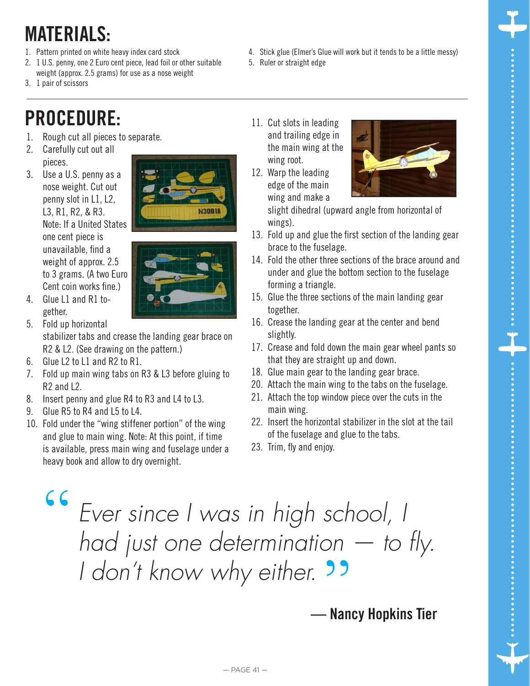### MATERIALS:

- 1. Pattern printed on white heavy index card stock
- 2. 1 U.S. penny, one 2 Euro cent piece, lead foil or other suitable weight (approx. 2.5 grams) for use as a nose weight
- 3. 1 pair of scissors

### PROCEDURE:

- 1. Rough cut all pieces to separate.
- 2. Carefully cut out all pieces.
- 3. Use a U.S. penny as a nose weight. Cut out penny slot in L1, L2, L3, R1, R2, & R3. Note: If a United States one cent piece is unavailable, find a weight of approx. 2.5 to 3 grams. (A two Euro Cent coin works fine.)



4. Glue L1 and R1 together.

5. Fold up horizontal stabilizer tabs and crease the landing gear brace on R2 & L2. (See drawing on the pattern.)

- 6. Glue L2 to L1 and R2 to R1.
- 7. Fold up main wing tabs on R3 & L3 before gluing to R2 and L2.
- 8. Insert penny and glue R4 to R3 and L4 to L3.
- 9. Glue R5 to R4 and L5 to L4.
- 10. Fold under the "wing stiffener portion" of the wing and glue to main wing. Note: At this point, if time is available, press main wing and fuselage under a heavy book and allow to dry overnight.
- 4. Stick glue (Elmer's Glue will work but it tends to be a little messy)
- 5. Ruler or straight edge
- 11. Cut slots in leading and trailing edge in the main wing at the wing root.
- 12. Warp the leading edge of the main wing and make a



slight dihedral (upward angle from horizontal of wings).

- 13. Fold up and glue the first section of the landing gear brace to the fuselage.
- 14. Fold the other three sections of the brace around and under and glue the bottom section to the fuselage forming a triangle.
- 15. Glue the three sections of the main landing gear together.
- 16. Crease the landing gear at the center and bend slightly.
- 17. Crease and fold down the main gear wheel pants so that they are straight up and down.
- 18. Glue main gear to the landing gear brace.
- 20. Attach the main wing to the tabs on the fuselage.
- 21. Attach the top window piece over the cuts in the main wing.
- 22. Insert the horizontal stabilizer in the slot at the tail of the fuselage and glue to the tabs.
- 23. Trim, fly and enjoy.

*Ever since I was in high school, I had just one determination — to fly. I* don't know why either. **33**<br>- Nan "

— Nancy Hopkins Tier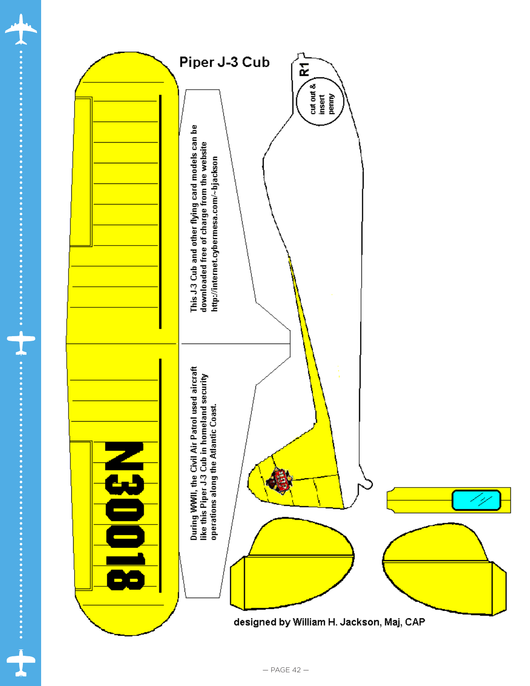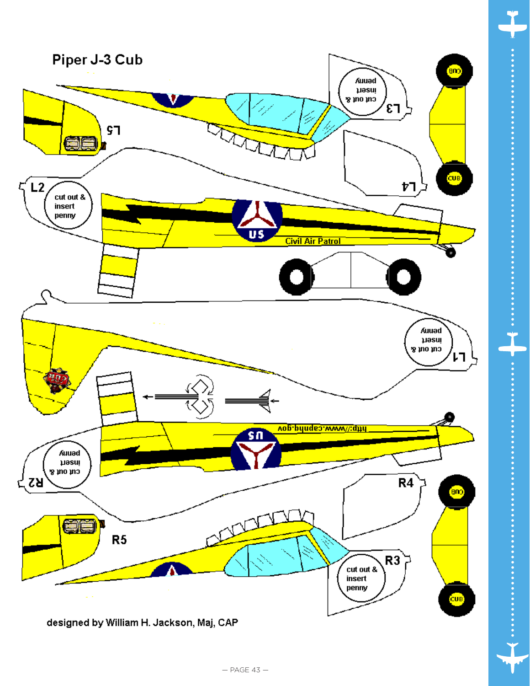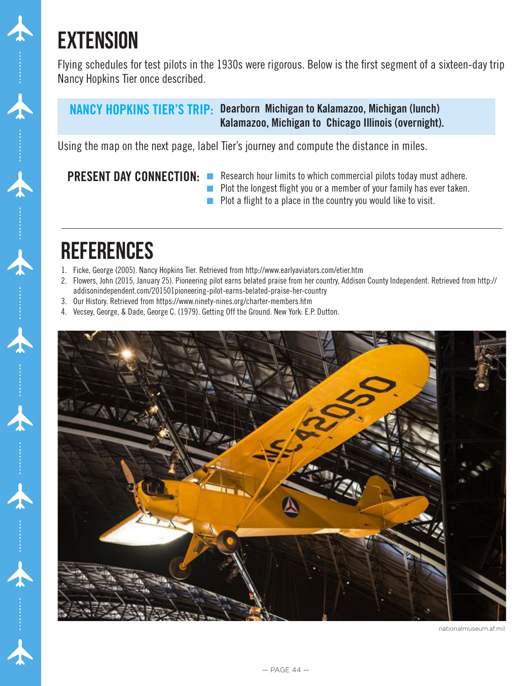## **EXTENSION**

Flying schedules for test pilots in the 1930s were rigorous. Below is the first segment of a sixteen-day trip Nancy Hopkins Tier once described.

### NANCY HOPKINS TIER'S TRIP: Dearborn Michigan to Kalamazoo, Michigan (lunch) Kalamazoo, Michigan to Chicago Illinois (overnight).

Using the map on the next page, label Tier's journey and compute the distance in miles.

### PRESENT DAY CONNECTION:

- $\blacksquare$  Research hour limits to which commercial pilots today must adhere.
- $\blacksquare$  Plot the longest flight you or a member of your family has ever taken.
- $\blacksquare$  Plot a flight to a place in the country you would like to visit.

### **REFERENCES**

- 1. Ficke, George (2005). Nancy Hopkins Tier. Retrieved from http://www.earlyaviators.com/etier.htm
- 2. Flowers, John (2015, January 25). Pioneering pilot earns belated praise from her country, Addison County Independent. Retrieved from http:// addisonindependent.com/201501pioneering-pilot-earns-belated-praise-her-country
- 3. Our History. Retrieved from https://www.ninety-nines.org/charter-members.htm
- 4. Vecsey, George, & Dade, George C. (1979). Getting Off the Ground. New York: E.P. Dutton.



nationalmuseum.af.mil